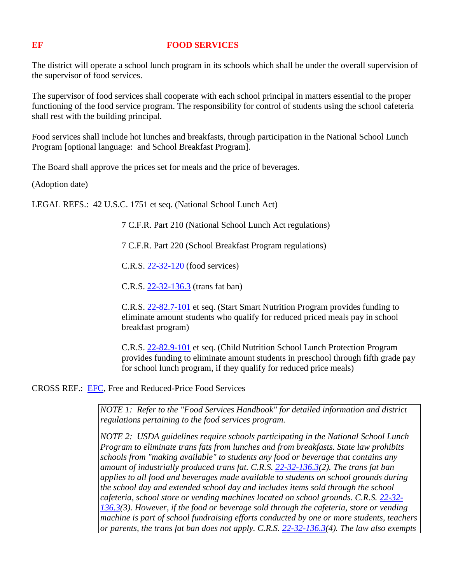## **EF FOOD SERVICES**

The district will operate a school lunch program in its schools which shall be under the overall supervision of the supervisor of food services.

The supervisor of food services shall cooperate with each school principal in matters essential to the proper functioning of the food service program. The responsibility for control of students using the school cafeteria shall rest with the building principal.

Food services shall include hot lunches and breakfasts, through participation in the National School Lunch Program [optional language: and School Breakfast Program].

The Board shall approve the prices set for meals and the price of beverages.

(Adoption date)

LEGAL REFS.: 42 U.S.C. 1751 et seq. (National School Lunch Act)

7 C.F.R. Part 210 (National School Lunch Act regulations)

7 C.F.R. Part 220 (School Breakfast Program regulations)

C.R.S. [22-32-120](http://www.lpdirect.net/casb/crs/22-32-120.html) (food services)

C.R.S. [22-32-136.3](http://www.lpdirect.net/casb/crs/22-32-136_3.html) (trans fat ban)

C.R.S. [22-82.7-101](http://www.lpdirect.net/casb/crs/22-82_7-101.html) et seq. (Start Smart Nutrition Program provides funding to eliminate amount students who qualify for reduced priced meals pay in school breakfast program)

C.R.S. [22-82.9-101](http://www.lpdirect.net/casb/crs/22-82_9-101.html) et seq. (Child Nutrition School Lunch Protection Program provides funding to eliminate amount students in preschool through fifth grade pay for school lunch program, if they qualify for reduced price meals)

CROSS REF.: [EFC,](http://z2.ctspublish.com/casb/DocViewer.jsp?docid=116&z2collection=core#JD_EFC) Free and Reduced-Price Food Services

*NOTE 1: Refer to the "Food Services Handbook" for detailed information and district regulations pertaining to the food services program.*

*NOTE 2: USDA guidelines require schools participating in the National School Lunch Program to eliminate trans fats from lunches and from breakfasts. State law prohibits schools from "making available" to students any food or beverage that contains any amount of industrially produced trans fat. C.R.S. [22-32-136.3\(](http://www.lpdirect.net/casb/crs/22-32-136_3.html)2). The trans fat ban applies to all food and beverages made available to students on school grounds during the school day and extended school day and includes items sold through the school cafeteria, school store or vending machines located on school grounds. C.R.S. [22-32-](http://www.lpdirect.net/casb/crs/22-32-136_3.html) [136.3\(](http://www.lpdirect.net/casb/crs/22-32-136_3.html)3). However, if the food or beverage sold through the cafeteria, store or vending machine is part of school fundraising efforts conducted by one or more students, teachers or parents, the trans fat ban does not apply. C.R.S. [22-32-136.3\(](http://www.lpdirect.net/casb/crs/22-32-136_3.html)4). The law also exempts*